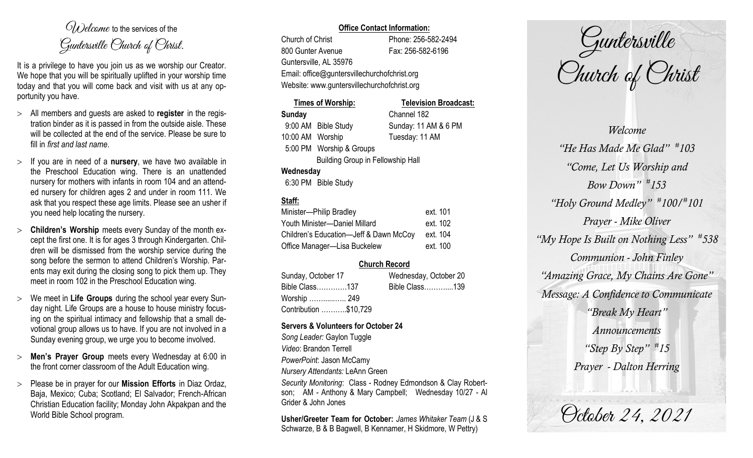$O(\lambda)$  elcame to the services of the Guntersville Church of Christ.

It is a privilege to have you join us as we worship our Creator. We hope that you will be spiritually uplifted in your worship time today and that you will come back and visit with us at any opportunity you have.

- All members and guests are asked to **register** in the registration binder as it is passed in from the outside aisle. These will be collected at the end of the service. Please be sure to fill in *first and last name*.
- $>$  If you are in need of a **nursery**, we have two available in the Preschool Education wing. There is an unattended nursery for mothers with infants in room 104 and an attended nursery for children ages 2 and under in room 111. We ask that you respect these age limits. Please see an usher if you need help locating the nursery.
- **Children's Worship** meets every Sunday of the month except the first one. It is for ages 3 through Kindergarten. Children will be dismissed from the worship service during the song before the sermon to attend Children's Worship. Parents may exit during the closing song to pick them up. They meet in room 102 in the Preschool Education wing.
- We meet in **Life Groups** during the school year every Sunday night. Life Groups are a house to house ministry focusing on the spiritual intimacy and fellowship that a small devotional group allows us to have. If you are not involved in a Sunday evening group, we urge you to become involved.
- **Men's Prayer Group** meets every Wednesday at 6:00 in the front corner classroom of the Adult Education wing.
- Please be in prayer for our **Mission Efforts** in Diaz Ordaz, Baja, Mexico; Cuba; Scotland; El Salvador; French-African Christian Education facility; Monday John Akpakpan and the World Bible School program.

# **Office Contact Information:**

Church of Christ Phone: 256-582-2494 800 Gunter Avenue Fax: 256-582-6196 Guntersville, AL 35976 Email: office@guntersvillechurchofchrist.org Website: www.guntersvillechurchofchrist.org

**Times of Worship: Television Broadcast: Sunday** Channel 182 9:00 AM Bible Study Sunday: 11 AM & 6 PM 10:00 AM Worship Tuesday: 11 AM 5:00 PM Worship & Groups Building Group in Fellowship Hall **Wednesday**

6:30 PM Bible Study

# **Staff:**

| Minister-Philip Bradley                | ext. 101 |
|----------------------------------------|----------|
| Youth Minister-Daniel Millard          | ext. 102 |
| Children's Education-Jeff & Dawn McCoy | ext. 104 |
| Office Manager-Lisa Buckelew           | ext. 100 |

# **Church Record**

| Sunday, October 17    |  | Wednesday, October 20 |  |
|-----------------------|--|-----------------------|--|
| Bible Class137        |  | Bible Class139        |  |
| Worship  249          |  |                       |  |
| Contribution \$10,729 |  |                       |  |

#### **Servers & Volunteers for October 24**

*Song Leader:* Gaylon Tuggle *Video*: Brandon Terrell *PowerPoint*: Jason McCamy *Nursery Attendants:* LeAnn Green *Security Monitoring*: Class - Rodney Edmondson & Clay Robertson; AM - Anthony & Mary Campbell; Wednesday 10/27 - Al Grider & John Jones

**Usher/Greeter Team for October:** *James Whitaker Team* (J & S Schwarze, B & B Bagwell, B Kennamer, H Skidmore, W Pettry)

Guntersville Church of Christ

*Welcome "He Has Made Me Glad" # 103 "Come, Let Us Worship and Bow Down" # 153 "Holy Ground Medley" # 100/# 101 Prayer - Mike Oliver "My Hope Is Built on Nothing Less" # 538 Communion - John Finley "Amazing Grace, My Chains Are Gone" Message: A Confidence to Communicate "Break My Heart" Announcements "Step By Step" # 15 Prayer - Dalton Herring*

October 24, 2021